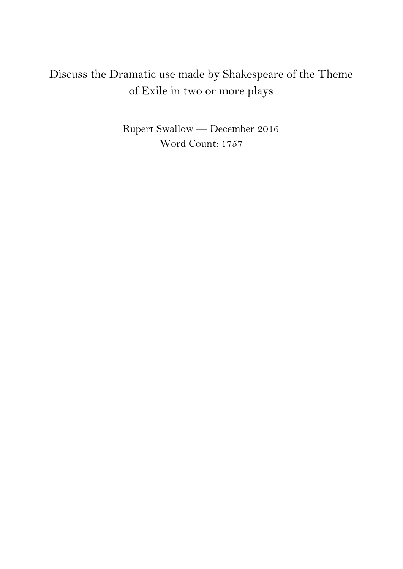## Discuss the Dramatic use made by Shakespeare of the Theme of Exile in two or more plays

**\_\_\_\_\_\_\_\_\_\_\_\_\_\_\_\_\_\_\_\_\_\_\_\_\_\_\_\_\_\_\_\_\_\_\_\_\_\_\_\_\_\_\_\_\_\_\_\_\_\_\_\_\_\_\_\_\_\_\_\_\_\_\_\_\_\_\_\_\_\_\_\_\_\_\_**

**\_\_\_\_\_\_\_\_\_\_\_\_\_\_\_\_\_\_\_\_\_\_\_\_\_\_\_\_\_\_\_\_\_\_\_\_\_\_\_\_\_\_\_\_\_\_\_\_\_\_\_\_\_\_\_\_\_\_\_\_\_\_\_\_\_\_\_\_\_\_\_\_\_\_\_**

Rupert Swallow — December 2016 Word Count: 1757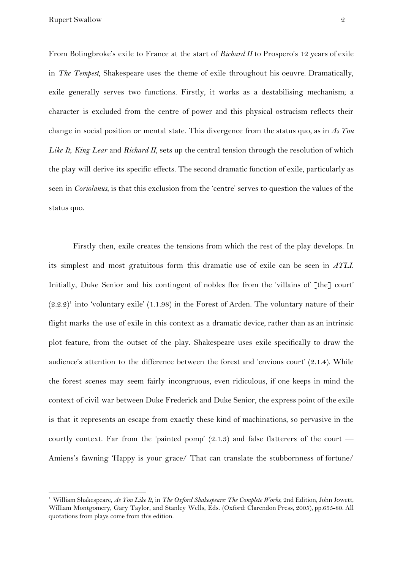From Bolingbroke's exile to France at the start of *Richard II* to Prospero's 12 years of exile in *The Tempest,* Shakespeare uses the theme of exile throughout his oeuvre. Dramatically, exile generally serves two functions. Firstly, it works as a destabilising mechanism; a character is excluded from the centre of power and this physical ostracism reflects their change in social position or mental state. This divergence from the status quo, as in *As You Like It*, *King Lear* and *Richard II*, sets up the central tension through the resolution of which the play will derive its specific effects. The second dramatic function of exile, particularly as seen in *Coriolanus*, is that this exclusion from the 'centre' serves to question the values of the status quo.

Firstly then, exile creates the tensions from which the rest of the play develops. In its simplest and most gratuitous form this dramatic use of exile can be seen in *AYLI*. Initially, Duke Senior and his contingent of nobles flee from the 'villains of [the] court'  $(2.2.2)^1$  into 'voluntary exile' (1.1.98) in the Forest of Arden. The voluntary nature of their flight marks the use of exile in this context as a dramatic device, rather than as an intrinsic plot feature, from the outset of the play. Shakespeare uses exile specifically to draw the audience's attention to the difference between the forest and 'envious court' (2.1.4). While the forest scenes may seem fairly incongruous, even ridiculous, if one keeps in mind the context of civil war between Duke Frederick and Duke Senior, the express point of the exile is that it represents an escape from exactly these kind of machinations, so pervasive in the courtly context. Far from the 'painted pomp'  $(2.1.3)$  and false flatterers of the court — Amiens's fawning 'Happy is your grace/ That can translate the stubbornness of fortune/

<sup>1</sup> William Shakespeare, *As You Like It*, in *The Oxford Shakespeare: The Complete Works*, 2nd Edition, John Jowett, William Montgomery, Gary Taylor, and Stanley Wells, Eds. (Oxford: Clarendon Press, 2005), pp.655-80. All quotations from plays come from this edition.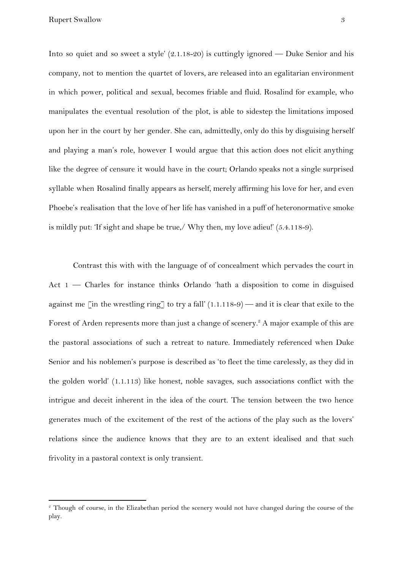Into so quiet and so sweet a style' (2.1.18-20) is cuttingly ignored — Duke Senior and his company, not to mention the quartet of lovers, are released into an egalitarian environment in which power, political and sexual, becomes friable and fluid. Rosalind for example, who manipulates the eventual resolution of the plot, is able to sidestep the limitations imposed upon her in the court by her gender. She can, admittedly, only do this by disguising herself and playing a man's role, however I would argue that this action does not elicit anything like the degree of censure it would have in the court; Orlando speaks not a single surprised syllable when Rosalind finally appears as herself, merely affirming his love for her, and even Phoebe's realisation that the love of her life has vanished in a puff of heteronormative smoke is mildly put: 'If sight and shape be true,/ Why then, my love adieu!' (5.4.118-9).

Contrast this with with the language of of concealment which pervades the court in Act 1 — Charles for instance thinks Orlando 'hath a disposition to come in disguised against me [in the wrestling ring] to try a fall'  $(1.1.118-9)$  — and it is clear that exile to the Forest of Arden represents more than just a change of scenery.<sup>2</sup> A major example of this are the pastoral associations of such a retreat to nature. Immediately referenced when Duke Senior and his noblemen's purpose is described as 'to fleet the time carelessly, as they did in the golden world' (1.1.113) like honest, noble savages, such associations conflict with the intrigue and deceit inherent in the idea of the court. The tension between the two hence generates much of the excitement of the rest of the actions of the play such as the lovers' relations since the audience knows that they are to an extent idealised and that such frivolity in a pastoral context is only transient.

<sup>&</sup>lt;sup>2</sup> Though of course, in the Elizabethan period the scenery would not have changed during the course of the play.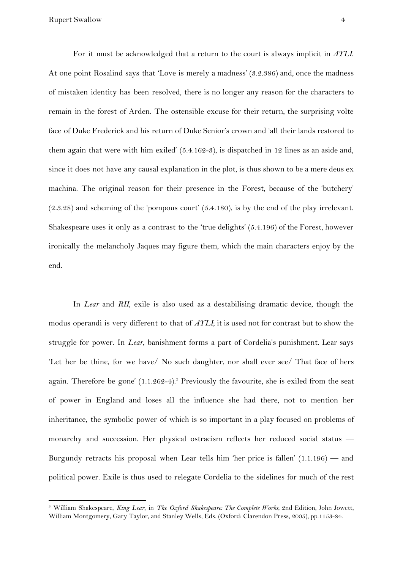For it must be acknowledged that a return to the court is always implicit in *AYLI*. At one point Rosalind says that 'Love is merely a madness' (3.2.386) and, once the madness of mistaken identity has been resolved, there is no longer any reason for the characters to remain in the forest of Arden. The ostensible excuse for their return, the surprising volte face of Duke Frederick and his return of Duke Senior's crown and 'all their lands restored to them again that were with him exiled' (5.4.162-3), is dispatched in 12 lines as an aside and, since it does not have any causal explanation in the plot, is thus shown to be a mere deus ex machina. The original reason for their presence in the Forest, because of the 'butchery' (2.3.28) and scheming of the 'pompous court' (5.4.180), is by the end of the play irrelevant. Shakespeare uses it only as a contrast to the 'true delights' (5.4.196) of the Forest, however ironically the melancholy Jaques may figure them, which the main characters enjoy by the end.

In *Lear* and *RII*, exile is also used as a destabilising dramatic device, though the modus operandi is very different to that of *AYLI*; it is used not for contrast but to show the struggle for power. In *Lear*, banishment forms a part of Cordelia's punishment. Lear says 'Let her be thine, for we have/ No such daughter, nor shall ever see/ That face of hers again. Therefore be gone'  $(1.1.262-4)$ .<sup>3</sup> Previously the favourite, she is exiled from the seat of power in England and loses all the influence she had there, not to mention her inheritance, the symbolic power of which is so important in a play focused on problems of monarchy and succession. Her physical ostracism reflects her reduced social status — Burgundy retracts his proposal when Lear tells him 'her price is fallen' (1.1.196) — and political power. Exile is thus used to relegate Cordelia to the sidelines for much of the rest

<sup>3</sup> William Shakespeare, *King Lear*, in *The Oxford Shakespeare: The Complete Works*, 2nd Edition, John Jowett, William Montgomery, Gary Taylor, and Stanley Wells, Eds. (Oxford: Clarendon Press, 2005), pp.1153-84.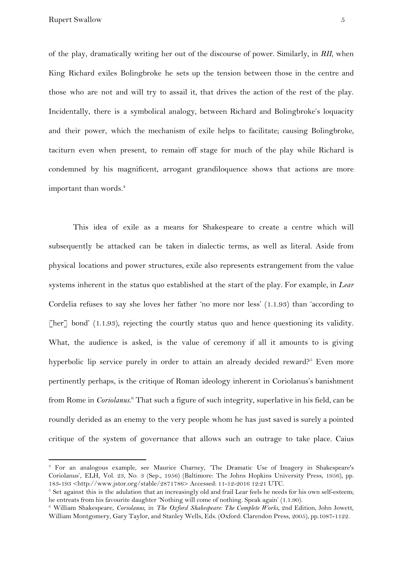of the play, dramatically writing her out of the discourse of power. Similarly, in *RII*, when King Richard exiles Bolingbroke he sets up the tension between those in the centre and those who are not and will try to assail it, that drives the action of the rest of the play. Incidentally, there is a symbolical analogy, between Richard and Bolingbroke's loquacity and their power, which the mechanism of exile helps to facilitate; causing Bolingbroke, taciturn even when present, to remain off stage for much of the play while Richard is condemned by his magnificent, arrogant grandiloquence shows that actions are more important than words.<sup>4</sup>

This idea of exile as a means for Shakespeare to create a centre which will subsequently be attacked can be taken in dialectic terms, as well as literal. Aside from physical locations and power structures, exile also represents estrangement from the value systems inherent in the status quo established at the start of the play. For example, in *Lear* Cordelia refuses to say she loves her father 'no more nor less' (1.1.93) than 'according to [her] bond' (1.1.93), rejecting the courtly status quo and hence questioning its validity. What, the audience is asked, is the value of ceremony if all it amounts to is giving hyperbolic lip service purely in order to attain an already decided reward?<sup>5</sup> Even more pertinently perhaps, is the critique of Roman ideology inherent in Coriolanus's banishment from Rome in *Coriolanus*.<sup>6</sup> That such a figure of such integrity, superlative in his field, can be roundly derided as an enemy to the very people whom he has just saved is surely a pointed critique of the system of governance that allows such an outrage to take place. Caius

<sup>4</sup> For an analogous example, see Maurice Charney, 'The Dramatic Use of Imagery in Shakespeare's Coriolanus', ELH, Vol. 23, No. 3 (Sep., 1956) (Baltimore: The Johns Hopkins University Press, 1956), pp. 183-193 <http://www.jstor.org/stable/2871786> Accessed: 11-12-2016 12:21 UTC.

 $5$  Set against this is the adulation that an increasingly old and frail Lear feels he needs for his own self-esteem; he entreats from his favourite daughter 'Nothing will come of nothing. Speak again' (1.1.90).

<sup>6</sup> William Shakespeare, *Coriolanus*, in *The Oxford Shakespeare: The Complete Works*, 2nd Edition, John Jowett, William Montgomery, Gary Taylor, and Stanley Wells, Eds. (Oxford: Clarendon Press, 2005), pp.1087-1122.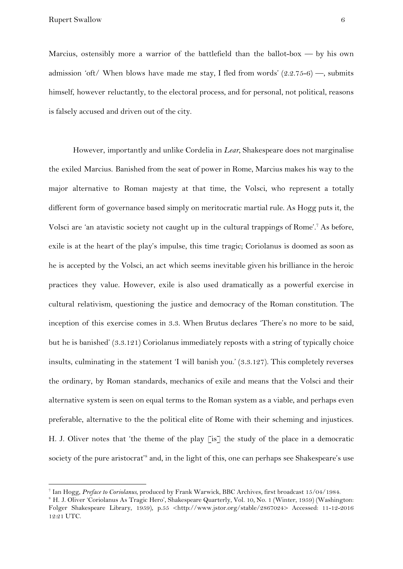Marcius, ostensibly more a warrior of the battlefield than the ballot-box  $-$  by his own admission 'oft/ When blows have made me stay, I fled from words'  $(2.2.75-6)$  —, submits himself, however reluctantly, to the electoral process, and for personal, not political, reasons is falsely accused and driven out of the city.

However, importantly and unlike Cordelia in *Lear*, Shakespeare does not marginalise the exiled Marcius. Banished from the seat of power in Rome, Marcius makes his way to the major alternative to Roman majesty at that time, the Volsci, who represent a totally different form of governance based simply on meritocratic martial rule. As Hogg puts it, the Volsci are 'an atavistic society not caught up in the cultural trappings of Rome'.<sup>7</sup> As before, exile is at the heart of the play's impulse, this time tragic; Coriolanus is doomed as soon as he is accepted by the Volsci, an act which seems inevitable given his brilliance in the heroic practices they value. However, exile is also used dramatically as a powerful exercise in cultural relativism, questioning the justice and democracy of the Roman constitution. The inception of this exercise comes in 3.3. When Brutus declares 'There's no more to be said, but he is banished' (3.3.121) Coriolanus immediately reposts with a string of typically choice insults, culminating in the statement 'I will banish you.' (3.3.127). This completely reverses the ordinary, by Roman standards, mechanics of exile and means that the Volsci and their alternative system is seen on equal terms to the Roman system as a viable, and perhaps even preferable, alternative to the the political elite of Rome with their scheming and injustices. H. J. Oliver notes that 'the theme of the play [is] the study of the place in a democratic society of the pure aristocrat'<sup>8</sup> and, in the light of this, one can perhaps see Shakespeare's use

<sup>7</sup> Ian Hogg, *Preface to Coriolanus*, produced by Frank Warwick, BBC Archives, first broadcast 15/04/1984.

<sup>&</sup>lt;sup>8</sup> H. J. Oliver 'Coriolanus As Tragic Hero', Shakespeare Quarterly, Vol. 10, No. 1 (Winter, 1959) (Washington: Folger Shakespeare Library, 1959), p.55 <http://www.jstor.org/stable/2867024> Accessed: 11-12-2016 12:21 UTC.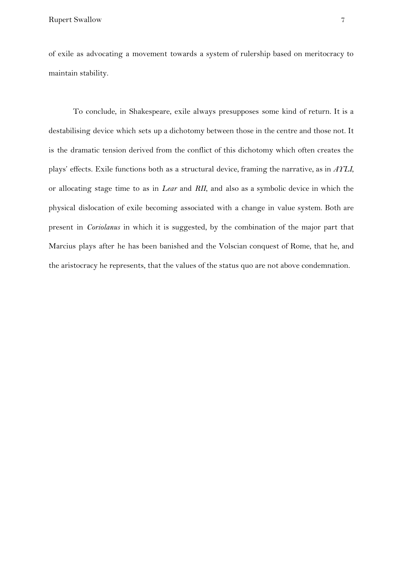of exile as advocating a movement towards a system of rulership based on meritocracy to maintain stability.

To conclude, in Shakespeare, exile always presupposes some kind of return. It is a destabilising device which sets up a dichotomy between those in the centre and those not. It is the dramatic tension derived from the conflict of this dichotomy which often creates the plays' effects. Exile functions both as a structural device, framing the narrative, as in *AYLI*, or allocating stage time to as in *Lear* and *RII*, and also as a symbolic device in which the physical dislocation of exile becoming associated with a change in value system. Both are present in *Coriolanus* in which it is suggested, by the combination of the major part that Marcius plays after he has been banished and the Volscian conquest of Rome, that he, and the aristocracy he represents, that the values of the status quo are not above condemnation.